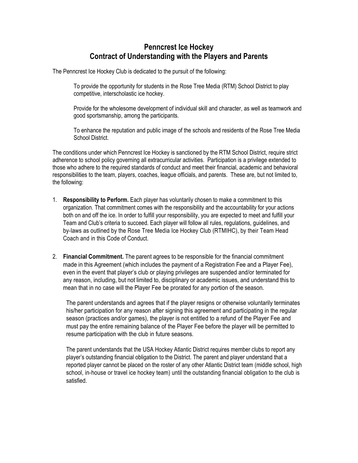## **Penncrest Ice Hockey Contract of Understanding with the Players and Parents**

The Penncrest Ice Hockey Club is dedicated to the pursuit of the following:

To provide the opportunity for students in the Rose Tree Media (RTM) School District to play competitive, interscholastic ice hockey.

Provide for the wholesome development of individual skill and character, as well as teamwork and good sportsmanship, among the participants.

To enhance the reputation and public image of the schools and residents of the Rose Tree Media School District.

The conditions under which Penncrest Ice Hockey is sanctioned by the RTM School District, require strict adherence to school policy governing all extracurricular activities. Participation is a privilege extended to those who adhere to the required standards of conduct and meet their financial, academic and behavioral responsibilities to the team, players, coaches, league officials, and parents. These are, but not limited to, the following:

- 1. **Responsibility to Perform.** Each player has voluntarily chosen to make a commitment to this organization. That commitment comes with the responsibility and the accountability for your actions both on and off the ice. In order to fulfill your responsibility, you are expected to meet and fulfill your Team and Club's criteria to succeed. Each player will follow all rules, regulations, guidelines, and by-laws as outlined by the Rose Tree Media Ice Hockey Club (RTMIHC), by their Team Head Coach and in this Code of Conduct.
- 2. **Financial Commitment.** The parent agrees to be responsible for the financial commitment made in this Agreement (which includes the payment of a Registration Fee and a Player Fee), even in the event that player's club or playing privileges are suspended and/or terminated for any reason, including, but not limited to, disciplinary or academic issues, and understand this to mean that in no case will the Player Fee be prorated for any portion of the season.

The parent understands and agrees that if the player resigns or otherwise voluntarily terminates his/her participation for any reason after signing this agreement and participating in the regular season (practices and/or games), the player is not entitled to a refund of the Player Fee and must pay the entire remaining balance of the Player Fee before the player will be permitted to resume participation with the club in future seasons.

The parent understands that the USA Hockey Atlantic District requires member clubs to report any player's outstanding financial obligation to the District. The parent and player understand that a reported player cannot be placed on the roster of any other Atlantic District team (middle school, high school, in-house or travel ice hockey team) until the outstanding financial obligation to the club is satisfied.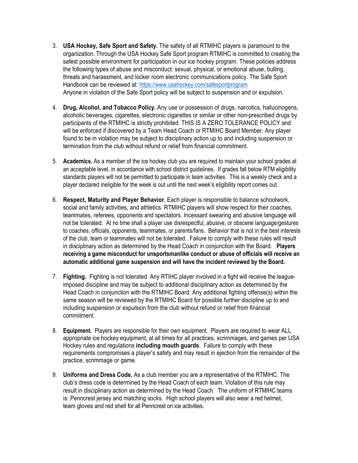- 3. **USA Hockey, Safe Sport and Safety.** The safety of all RTMIHC players is paramount to the organization. Through the USA Hockey Safe Sport program RTMIHC is committed to creating the safest possible environment for participation in our ice hockey program. These policies address the following types of abuse and misconduct: sexual, physical, or emotional abuse, bulling, threats and harassment, and locker room electronic communications policy. The Safe Sport Handbook can be reviewed at:<https://www.usahockey.com/safesportprogram> Anyone in violation of the Safe Sport policy will be subject to suspension and or expulsion.
- 4. **Drug, Alcohol, and Tobacco Policy.** Any use or possession of drugs, narcotics, hallucinogens, alcoholic beverages, cigarettes, electronic cigarettes or similar or other non-prescribed drugs by participants of the RTMIHC is strictly prohibited. THIS IS A ZERO TOLERANCE POLICY and will be enforced if discovered by a Team Head Coach or RTMIHC Board Member. Any player found to be in violation may be subject to disciplinary action up to and including suspension or termination from the club without refund or relief from financial commitment.
- 5. **Academics.** As a member of the ice hockey club you are required to maintain your school grades at an acceptable level, in accordance with school district guidelines. If grades fall below RTM eligibility standards players will not be permitted to participate in team activities. This is a weekly check and a player declared ineligible for the week is out until the next week's eligibility report comes out.
- 6. **Respect, Maturity and Player Behavior.** Each player is responsible to balance schoolwork, social and family activities, and athletics. RTMIHC players will show respect for their coaches, teammates, referees, opponents and spectators. Incessant swearing and abusive language will not be tolerated. At no time shall a player use disrespectful, abusive, or obscene language/gestures to coaches, officials, opponents, teammates, or parents/fans. Behavior that is not in the best interests of the club, team or teammates will not be tolerated. Failure to comply with these rules will result in disciplinary action as determined by the Head Coach in conjunction with the Board. **Players receiving a game misconduct for unsportsmanlike conduct or abuse of officials will receive an automatic additional game suspension and will have the incident reviewed by the Board.**
- 7. **Fighting.** Fighting is not tolerated. Any RTIHC player involved in a fight will receive the leagueimposed discipline and may be subject to additional disciplinary action as determined by the Head Coach in conjunction with the RTMIHC Board. Any additional fighting offense(s) within the same season will be reviewed by the RTMIHC Board for possible further discipline up to and including suspension or expulsion from the club without refund or relief from financial commitment.
- 8. **Equipment.** Players are responsible for their own equipment. Players are required to wear ALL appropriate ice hockey equipment, at all times for all practices, scrimmages, and games per USA Hockey rules and regulations **including mouth guards**. Failure to comply with these requirements compromises a player's safety and may result in ejection from the remainder of the practice, scrimmage or game.
- 9. **Uniforms and Dress Code.** As a club member you are a representative of the RTMIHC. The club's dress code is determined by the Head Coach of each team. Violation of this rule may result in disciplinary action as determined by the Head Coach. The uniform of RTMIHC teams is: Penncrest jersey and matching socks. High school players will also wear a red helmet, team gloves and red shell for all Penncrest on ice activities.